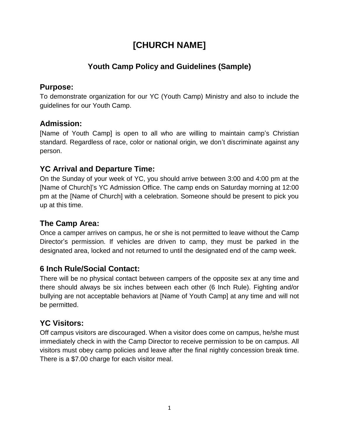# **[CHURCH NAME]**

# **Youth Camp Policy and Guidelines (Sample)**

#### **Purpose:**

To demonstrate organization for our YC (Youth Camp) Ministry and also to include the guidelines for our Youth Camp.

## **Admission:**

[Name of Youth Camp] is open to all who are willing to maintain camp's Christian standard. Regardless of race, color or national origin, we don't discriminate against any person.

## **YC Arrival and Departure Time:**

On the Sunday of your week of YC, you should arrive between 3:00 and 4:00 pm at the [Name of Church]'s YC Admission Office. The camp ends on Saturday morning at 12:00 pm at the [Name of Church] with a celebration. Someone should be present to pick you up at this time.

## **The Camp Area:**

Once a camper arrives on campus, he or she is not permitted to leave without the Camp Director's permission. If vehicles are driven to camp, they must be parked in the designated area, locked and not returned to until the designated end of the camp week.

# **6 Inch Rule/Social Contact:**

There will be no physical contact between campers of the opposite sex at any time and there should always be six inches between each other (6 Inch Rule). Fighting and/or bullying are not acceptable behaviors at [Name of Youth Camp] at any time and will not be permitted.

# **YC Visitors:**

Off campus visitors are discouraged. When a visitor does come on campus, he/she must immediately check in with the Camp Director to receive permission to be on campus. All visitors must obey camp policies and leave after the final nightly concession break time. There is a \$7.00 charge for each visitor meal.